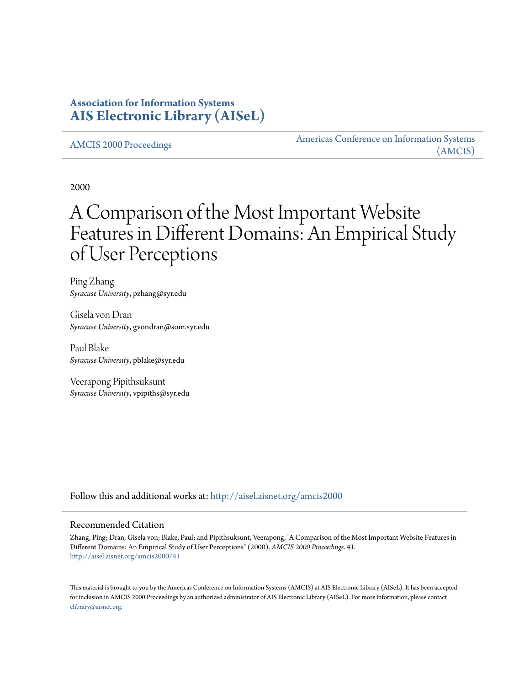# **Association for Information Systems [AIS Electronic Library \(AISeL\)](http://aisel.aisnet.org?utm_source=aisel.aisnet.org%2Famcis2000%2F41&utm_medium=PDF&utm_campaign=PDFCoverPages)**

[AMCIS 2000 Proceedings](http://aisel.aisnet.org/amcis2000?utm_source=aisel.aisnet.org%2Famcis2000%2F41&utm_medium=PDF&utm_campaign=PDFCoverPages)

[Americas Conference on Information Systems](http://aisel.aisnet.org/amcis?utm_source=aisel.aisnet.org%2Famcis2000%2F41&utm_medium=PDF&utm_campaign=PDFCoverPages) [\(AMCIS\)](http://aisel.aisnet.org/amcis?utm_source=aisel.aisnet.org%2Famcis2000%2F41&utm_medium=PDF&utm_campaign=PDFCoverPages)

2000

# A Comparison of the Most Important Website Features in Different Domains: An Empirical Study of User Perceptions

Ping Zhang *Syracuse University*, pzhang@syr.edu

Gisela von Dran *Syracuse University*, gvondran@som.syr.edu

Paul Blake *Syracuse University*, pblake@syr.edu

Veerapong Pipithsuksunt *Syracuse University*, vpipiths@syr.edu

Follow this and additional works at: [http://aisel.aisnet.org/amcis2000](http://aisel.aisnet.org/amcis2000?utm_source=aisel.aisnet.org%2Famcis2000%2F41&utm_medium=PDF&utm_campaign=PDFCoverPages)

#### Recommended Citation

Zhang, Ping; Dran, Gisela von; Blake, Paul; and Pipithsuksunt, Veerapong, "A Comparison of the Most Important Website Features in Different Domains: An Empirical Study of User Perceptions" (2000). *AMCIS 2000 Proceedings*. 41. [http://aisel.aisnet.org/amcis2000/41](http://aisel.aisnet.org/amcis2000/41?utm_source=aisel.aisnet.org%2Famcis2000%2F41&utm_medium=PDF&utm_campaign=PDFCoverPages)

This material is brought to you by the Americas Conference on Information Systems (AMCIS) at AIS Electronic Library (AISeL). It has been accepted for inclusion in AMCIS 2000 Proceedings by an authorized administrator of AIS Electronic Library (AISeL). For more information, please contact [elibrary@aisnet.org.](mailto:elibrary@aisnet.org%3E)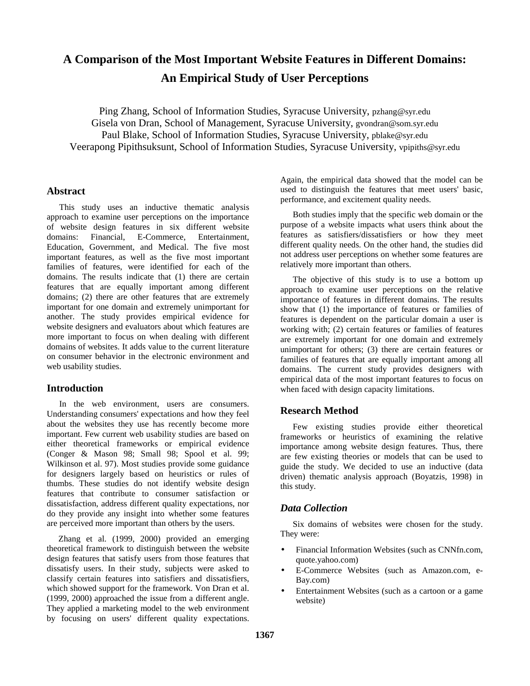# **A Comparison of the Most Important Website Features in Different Domains: An Empirical Study of User Perceptions**

Ping Zhang, School of Information Studies, Syracuse University, pzhang@syr.edu Gisela von Dran, School of Management, Syracuse University, gvondran@som.syr.edu Paul Blake, School of Information Studies, Syracuse University, pblake@syr.edu Veerapong Pipithsuksunt, School of Information Studies, Syracuse University, vpipiths@syr.edu

# **Abstract**

This study uses an inductive thematic analysis approach to examine user perceptions on the importance of website design features in six different website domains: Financial, E-Commerce, Entertainment, Education, Government, and Medical. The five most important features, as well as the five most important families of features, were identified for each of the domains. The results indicate that (1) there are certain features that are equally important among different domains; (2) there are other features that are extremely important for one domain and extremely unimportant for another. The study provides empirical evidence for website designers and evaluators about which features are more important to focus on when dealing with different domains of websites. It adds value to the current literature on consumer behavior in the electronic environment and web usability studies.

# **Introduction**

In the web environment, users are consumers. Understanding consumers' expectations and how they feel about the websites they use has recently become more important. Few current web usability studies are based on either theoretical frameworks or empirical evidence (Conger & Mason 98; Small 98; Spool et al. 99; Wilkinson et al. 97). Most studies provide some guidance for designers largely based on heuristics or rules of thumbs. These studies do not identify website design features that contribute to consumer satisfaction or dissatisfaction, address different quality expectations, nor do they provide any insight into whether some features are perceived more important than others by the users.

Zhang et al. (1999, 2000) provided an emerging theoretical framework to distinguish between the website design features that satisfy users from those features that dissatisfy users. In their study, subjects were asked to classify certain features into satisfiers and dissatisfiers, which showed support for the framework. Von Dran et al. (1999, 2000) approached the issue from a different angle. They applied a marketing model to the web environment by focusing on users' different quality expectations.

Again, the empirical data showed that the model can be used to distinguish the features that meet users' basic, performance, and excitement quality needs.

Both studies imply that the specific web domain or the purpose of a website impacts what users think about the features as satisfiers/dissatisfiers or how they meet different quality needs. On the other hand, the studies did not address user perceptions on whether some features are relatively more important than others.

The objective of this study is to use a bottom up approach to examine user perceptions on the relative importance of features in different domains. The results show that (1) the importance of features or families of features is dependent on the particular domain a user is working with; (2) certain features or families of features are extremely important for one domain and extremely unimportant for others; (3) there are certain features or families of features that are equally important among all domains. The current study provides designers with empirical data of the most important features to focus on when faced with design capacity limitations.

# **Research Method**

Few existing studies provide either theoretical frameworks or heuristics of examining the relative importance among website design features. Thus, there are few existing theories or models that can be used to guide the study. We decided to use an inductive (data driven) thematic analysis approach (Boyatzis, 1998) in this study.

# *Data Collection*

Six domains of websites were chosen for the study. They were:

- Financial Information Websites (such as CNNfn.com, quote.yahoo.com)
- E-Commerce Websites (such as Amazon.com, e-Bay.com)
- Entertainment Websites (such as a cartoon or a game website)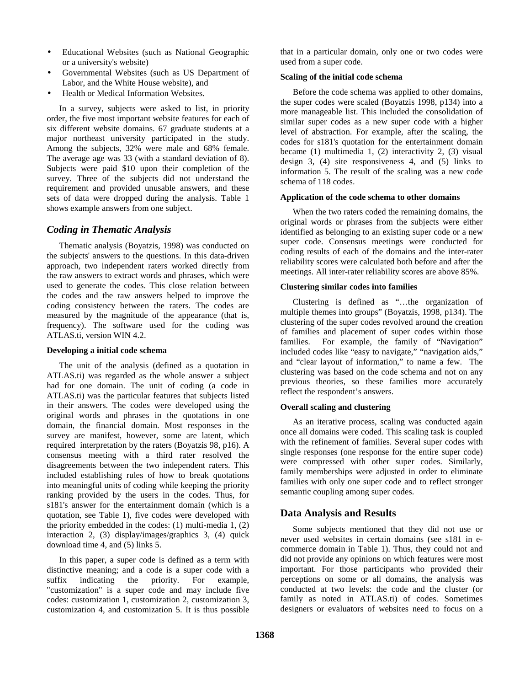- Educational Websites (such as National Geographic or a university's website)
- Governmental Websites (such as US Department of Labor, and the White House website), and
- Health or Medical Information Websites.

In a survey, subjects were asked to list, in priority order, the five most important website features for each of six different website domains. 67 graduate students at a major northeast university participated in the study. Among the subjects, 32% were male and 68% female. The average age was 33 (with a standard deviation of 8). Subjects were paid \$10 upon their completion of the survey. Three of the subjects did not understand the requirement and provided unusable answers, and these sets of data were dropped during the analysis. Table 1 shows example answers from one subject.

# *Coding in Thematic Analysis*

Thematic analysis (Boyatzis, 1998) was conducted on the subjects' answers to the questions. In this data-driven approach, two independent raters worked directly from the raw answers to extract words and phrases, which were used to generate the codes. This close relation between the codes and the raw answers helped to improve the coding consistency between the raters. The codes are measured by the magnitude of the appearance (that is, frequency). The software used for the coding was ATLAS.ti, version WIN 4.2.

#### **Developing a initial code schema**

The unit of the analysis (defined as a quotation in ATLAS.ti) was regarded as the whole answer a subject had for one domain. The unit of coding (a code in ATLAS.ti) was the particular features that subjects listed in their answers. The codes were developed using the original words and phrases in the quotations in one domain, the financial domain. Most responses in the survey are manifest, however, some are latent, which required interpretation by the raters (Boyatzis 98, p16). A consensus meeting with a third rater resolved the disagreements between the two independent raters. This included establishing rules of how to break quotations into meaningful units of coding while keeping the priority ranking provided by the users in the codes. Thus, for s181's answer for the entertainment domain (which is a quotation, see Table 1), five codes were developed with the priority embedded in the codes: (1) multi-media 1, (2) interaction 2, (3) display/images/graphics 3, (4) quick download time 4, and (5) links 5.

In this paper, a super code is defined as a term with distinctive meaning; and a code is a super code with a suffix indicating the priority. For example, "customization" is a super code and may include five codes: customization 1, customization 2, customization 3, customization 4, and customization 5. It is thus possible

that in a particular domain, only one or two codes were used from a super code.

#### **Scaling of the initial code schema**

Before the code schema was applied to other domains, the super codes were scaled (Boyatzis 1998, p134) into a more manageable list. This included the consolidation of similar super codes as a new super code with a higher level of abstraction. For example, after the scaling, the codes for s181's quotation for the entertainment domain became (1) multimedia 1, (2) interactivity 2, (3) visual design 3, (4) site responsiveness 4, and (5) links to information 5. The result of the scaling was a new code schema of 118 codes.

#### **Application of the code schema to other domains**

When the two raters coded the remaining domains, the original words or phrases from the subjects were either identified as belonging to an existing super code or a new super code. Consensus meetings were conducted for coding results of each of the domains and the inter-rater reliability scores were calculated both before and after the meetings. All inter-rater reliability scores are above 85%.

#### **Clustering similar codes into families**

Clustering is defined as "…the organization of multiple themes into groups" (Boyatzis, 1998, p134). The clustering of the super codes revolved around the creation of families and placement of super codes within those families. For example, the family of "Navigation" included codes like "easy to navigate," "navigation aids," and "clear layout of information," to name a few. The clustering was based on the code schema and not on any previous theories, so these families more accurately reflect the respondent's answers.

#### **Overall scaling and clustering**

As an iterative process, scaling was conducted again once all domains were coded. This scaling task is coupled with the refinement of families. Several super codes with single responses (one response for the entire super code) were compressed with other super codes. Similarly, family memberships were adjusted in order to eliminate families with only one super code and to reflect stronger semantic coupling among super codes.

# **Data Analysis and Results**

Some subjects mentioned that they did not use or never used websites in certain domains (see s181 in ecommerce domain in Table 1). Thus, they could not and did not provide any opinions on which features were most important. For those participants who provided their perceptions on some or all domains, the analysis was conducted at two levels: the code and the cluster (or family as noted in ATLAS.ti) of codes. Sometimes designers or evaluators of websites need to focus on a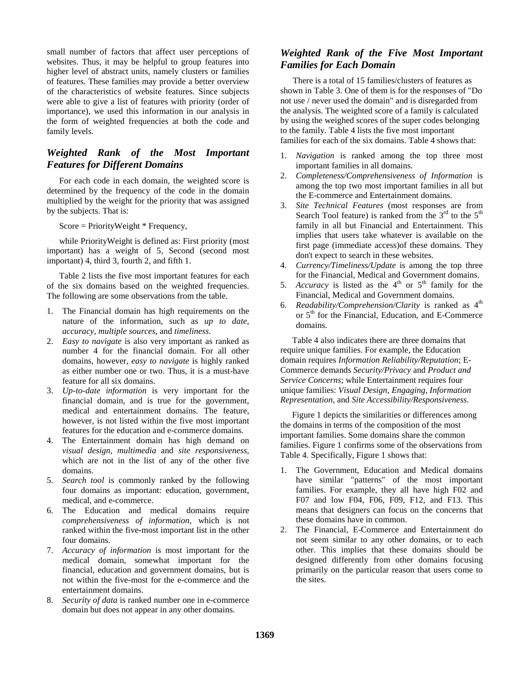small number of factors that affect user perceptions of websites. Thus, it may be helpful to group features into higher level of abstract units, namely clusters or families of features. These families may provide a better overview of the characteristics of website features. Since subjects were able to give a list of features with priority (order of importance), we used this information in our analysis in the form of weighted frequencies at both the code and family levels.

# *Weighted Rank of the Most Important Features for Different Domains*

For each code in each domain, the weighted score is determined by the frequency of the code in the domain multiplied by the weight for the priority that was assigned by the subjects. That is:

Score = PriorityWeight \* Frequency,

while PriorityWeight is defined as: First priority (most important) has a weight of 5, Second (second most important) 4, third 3, fourth 2, and fifth 1.

Table 2 lists the five most important features for each of the six domains based on the weighted frequencies. The following are some observations from the table.

- 1. The Financial domain has high requirements on the nature of the information, such as *up to date*, *accuracy*, *multiple sources*, and *timeliness*.
- 2. *Easy to navigate* is also very important as ranked as number 4 for the financial domain. For all other domains, however, *easy to navigate* is highly ranked as either number one or two. Thus, it is a must-have feature for all six domains.
- 3. *Up-to-date information* is very important for the financial domain, and is true for the government, medical and entertainment domains. The feature, however, is not listed within the five most important features for the education and e-commerce domains.
- 4. The Entertainment domain has high demand on *visual design, multimedia* and *site responsiveness*, which are not in the list of any of the other five domains.
- 5. *Search tool* is commonly ranked by the following four domains as important: education, government, medical, and e-commerce.
- 6. The Education and medical domains require *comprehensiveness of information*, which is not ranked within the five-most important list in the other four domains.
- 7. *Accuracy of information* is most important for the medical domain, somewhat important for the financial, education and government domains, but is not within the five-most for the e-commerce and the entertainment domains.
- 8. *Security of data* is ranked number one in e-commerce domain but does not appear in any other domains.

# *Weighted Rank of the Five Most Important Families for Each Domain*

There is a total of 15 families/clusters of features as shown in Table 3. One of them is for the responses of "Do not use / never used the domain" and is disregarded from the analysis. The weighted score of a family is calculated by using the weighed scores of the super codes belonging to the family. Table 4 lists the five most important families for each of the six domains. Table 4 shows that:

- 1. *Navigation* is ranked among the top three most important families in all domains.
- 2. *Completeness/Comprehensiveness of Information* is among the top two most important families in all but the E-commerce and Entertainment domains.
- 3. *Site Technical Features* (most responses are from Search Tool feature) is ranked from the  $3<sup>rd</sup>$  to the  $5<sup>th</sup>$ family in all but Financial and Entertainment. This implies that users take whatever is available on the first page (immediate access)of these domains. They don't expect to search in these websites.
- 4. *Currency/Timeliness/Update* is among the top three for the Financial, Medical and Government domains.
- 5. *Accuracy* is listed as the  $4<sup>th</sup>$  or  $5<sup>th</sup>$  family for the Financial, Medical and Government domains.
- 6. *Readability/Comprehension/Clarity* is ranked as 4<sup>th</sup> or  $5<sup>th</sup>$  for the Financial, Education, and E-Commerce domains.

Table 4 also indicates there are three domains that require unique families. For example, the Education domain requires *Information Reliability/Reputation*; E-Commerce demands *Security/Privacy* and *Product and Service Concerns*; while Entertainment requires four unique families: *Visual Design*, *Engaging*, *Information Representation*, and *Site Accessibility/Responsiveness*.

Figure 1 depicts the similarities or differences among the domains in terms of the composition of the most important families. Some domains share the common families. Figure 1 confirms some of the observations from Table 4. Specifically, Figure 1 shows that:

- 1. The Government, Education and Medical domains have similar "patterns" of the most important families. For example, they all have high F02 and F07 and low F04, F06, F09, F12, and F13. This means that designers can focus on the concerns that these domains have in common.
- 2. The Financial, E-Commerce and Entertainment do not seem similar to any other domains, or to each other. This implies that these domains should be designed differently from other domains focusing primarily on the particular reason that users come to the sites.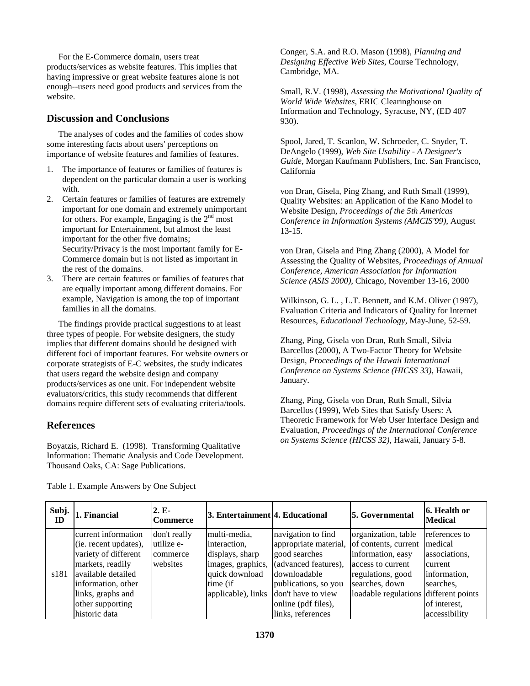For the E-Commerce domain, users treat products/services as website features. This implies that having impressive or great website features alone is not enough--users need good products and services from the website.

# **Discussion and Conclusions**

The analyses of codes and the families of codes show some interesting facts about users' perceptions on importance of website features and families of features.

- 1. The importance of features or families of features is dependent on the particular domain a user is working with.
- 2. Certain features or families of features are extremely important for one domain and extremely unimportant for others. For example, Engaging is the  $2<sup>nd</sup>$  most important for Entertainment, but almost the least important for the other five domains; Security/Privacy is the most important family for E-Commerce domain but is not listed as important in the rest of the domains.
- 3. There are certain features or families of features that are equally important among different domains. For example, Navigation is among the top of important families in all the domains.

The findings provide practical suggestions to at least three types of people. For website designers, the study implies that different domains should be designed with different foci of important features. For website owners or corporate strategists of E-C websites, the study indicates that users regard the website design and company products/services as one unit. For independent website evaluators/critics, this study recommends that different domains require different sets of evaluating criteria/tools.

# **References**

Boyatzis, Richard E. (1998). Transforming Qualitative Information: Thematic Analysis and Code Development. Thousand Oaks, CA: Sage Publications.

Conger, S.A. and R.O. Mason (1998), *Planning and Designing Effective Web Sites,* Course Technology, Cambridge, MA.

Small, R.V. (1998), *Assessing the Motivational Quality of World Wide Websites,* ERIC Clearinghouse on Information and Technology, Syracuse, NY, (ED 407 930).

Spool, Jared, T. Scanlon, W. Schroeder, C. Snyder, T. DeAngelo (1999), *Web Site Usability - A Designer's Guide,* Morgan Kaufmann Publishers, Inc. San Francisco, California

von Dran, Gisela, Ping Zhang, and Ruth Small (1999), Quality Websites: an Application of the Kano Model to Website Design, *Proceedings of the 5th Americas Conference in Information Systems (AMCIS'99),* August 13-15.

von Dran, Gisela and Ping Zhang (2000), A Model for Assessing the Quality of Websites, *Proceedings of Annual Conference, American Association for Information Science (ASIS 2000),* Chicago, November 13-16, 2000

Wilkinson, G. L. , L.T. Bennett, and K.M. Oliver (1997), Evaluation Criteria and Indicators of Quality for Internet Resources, *Educational Technology*, May-June, 52-59.

Zhang, Ping, Gisela von Dran, Ruth Small, Silvia Barcellos (2000), A Two-Factor Theory for Website Design, *Proceedings of the Hawaii International Conference on Systems Science (HICSS 33)*, Hawaii, January.

Zhang, Ping, Gisela von Dran, Ruth Small, Silvia Barcellos (1999), Web Sites that Satisfy Users: A Theoretic Framework for Web User Interface Design and Evaluation, *Proceedings of the International Conference on Systems Science (HICSS 32)*, Hawaii, January 5-8.

| Subj.<br>ID | 1. Financial          | 2. E-<br><b>Commerce</b> | 3. Entertainment 4. Educational |                       | <b>5. Governmental</b>                | 6. Health or<br><b>Medical</b> |
|-------------|-----------------------|--------------------------|---------------------------------|-----------------------|---------------------------------------|--------------------------------|
|             | current information   | don't really             | multi-media,                    | navigation to find    | organization, table                   | references to                  |
|             | (ie. recent updates), | lutilize e-              | interaction,                    | appropriate material, | of contents, current                  | medical                        |
|             | variety of different  | commerce                 | displays, sharp                 | good searches         | information, easy                     | associations,                  |
|             | markets, readily      | websites                 | images, graphics,               | (advanced features),  | access to current                     | current                        |
| s181        | available detailed    |                          | quick download                  | downloadable          | regulations, good                     | information.                   |
|             | information, other    |                          | time (if                        | publications, so you  | searches, down                        | searches,                      |
|             | links, graphs and     |                          | applicable), links              | don't have to view    | loadable regulations different points |                                |
|             | other supporting      |                          |                                 | online (pdf files),   |                                       | of interest,                   |
|             | historic data         |                          |                                 | links, references     |                                       | accessibility                  |

Table 1. Example Answers by One Subject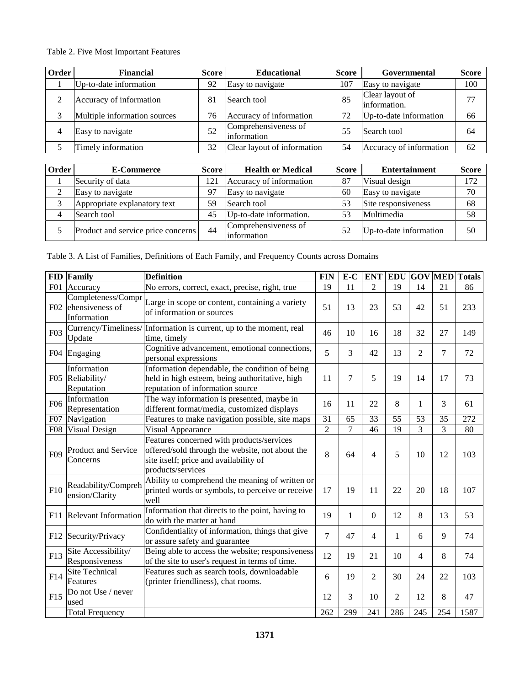# Table 2. Five Most Important Features

| Order | <b>Financial</b>             | <b>Score</b> | <b>Educational</b><br>Score          |     | Governmental                    | <b>Score</b> |
|-------|------------------------------|--------------|--------------------------------------|-----|---------------------------------|--------------|
|       | Up-to-date information       | 92           | Easy to navigate                     | 107 | Easy to navigate                | 100          |
|       | Accuracy of information      | 81           | Search tool                          | 85  | Clear layout of<br>information. | 77           |
|       | Multiple information sources | 76           | Accuracy of information              |     | Up-to-date information          | 66           |
|       | Easy to navigate             | 52           | Comprehensiveness of<br>linformation | 55  | Search tool                     | 64           |
|       | Timely information           | 32           | Clear layout of information          | 54  | Accuracy of information         | 62           |

| Order | <b>E-Commerce</b><br><b>Score</b>  |    | <b>Health or Medical</b>             | Score | <b>Entertainment</b>   | <b>Score</b> |
|-------|------------------------------------|----|--------------------------------------|-------|------------------------|--------------|
|       | Security of data                   |    | Accuracy of information              | 87    | Visual design          | 172          |
|       | Easy to navigate                   |    | Easy to navigate                     | 60    | Easy to navigate       | 70           |
|       | Appropriate explanatory text       |    | Search tool                          | 53    | Site responsiveness    | 68           |
|       | Search tool                        | 45 | Up-to-date information.              |       | Multimedia             | 58           |
|       | Product and service price concerns | 44 | Comprehensiveness of<br>linformation | 52    | Up-to-date information | 50           |

Table 3. A List of Families, Definitions of Each Family, and Frequency Counts across Domains

| <b>FID</b>       | Family                                               | <b>Definition</b>                                                                                                                                           | <b>FIN</b>     | E-C            | <b>ENT</b>     | <b>EDU</b>     |                | <b>GOV MED</b> | <b>Totals</b> |
|------------------|------------------------------------------------------|-------------------------------------------------------------------------------------------------------------------------------------------------------------|----------------|----------------|----------------|----------------|----------------|----------------|---------------|
| F01              | Accuracy                                             | No errors, correct, exact, precise, right, true                                                                                                             | 19             | 11             | $\overline{2}$ | 19             | 14             | 21             | 86            |
| F02              | Completeness/Compr<br>ehensiveness of<br>Information | Large in scope or content, containing a variety<br>of information or sources                                                                                | 51             | 13             | 23             | 53             | 42             | 51             | 233           |
| F <sub>0</sub> 3 | Currency/Timeliness/<br>Update                       | Information is current, up to the moment, real<br>time, timely                                                                                              | 46             | 10             | 16             | 18             | 32             | 27             | 149           |
|                  | F04 Engaging                                         | Cognitive advancement, emotional connections,<br>personal expressions                                                                                       | 5              | 3              | 42             | 13             | $\overline{2}$ | $\tau$         | 72            |
| F05              | Information<br>Reliability/<br>Reputation            | Information dependable, the condition of being<br>held in high esteem, being authoritative, high<br>reputation of information source                        | 11             | 7              | 5              | 19             | 14             | 17             | 73            |
| F <sub>06</sub>  | Information<br>Representation                        | The way information is presented, maybe in<br>different format/media, customized displays                                                                   | 16             | 11             | 22             | 8              | $\mathbf{1}$   | 3              | 61            |
| F07              | Navigation                                           | Features to make navigation possible, site maps                                                                                                             | 31             | 65             | 33             | 55             | 53             | 35             | 272           |
| <b>F08</b>       | Visual Design                                        | Visual Appearance                                                                                                                                           | $\overline{2}$ | $\overline{7}$ | 46             | 19             | 3              | 3              | 80            |
| F <sub>09</sub>  | Product and Service<br>Concerns                      | Features concerned with products/services<br>offered/sold through the website, not about the<br>site itself; price and availability of<br>products/services | 8              | 64             | 4              | 5              | 10             | 12             | 103           |
| F10              | Readability/Compreh<br>ension/Clarity                | Ability to comprehend the meaning of written or<br>printed words or symbols, to perceive or receive<br>well                                                 | 17             | 19             | 11             | 22             | 20             | 18             | 107           |
| F11              | <b>Relevant Information</b>                          | Information that directs to the point, having to<br>do with the matter at hand                                                                              | 19             | 1              | $\mathbf{0}$   | 12             | 8              | 13             | 53            |
| F12              | Security/Privacy                                     | Confidentiality of information, things that give<br>or assure safety and guarantee                                                                          | $\overline{7}$ | 47             | 4              | 1              | 6              | 9              | 74            |
| F13              | Site Accessibility/<br>Responsiveness                | Being able to access the website; responsiveness<br>of the site to user's request in terms of time.                                                         | 12             | 19             | 21             | 10             | 4              | 8              | 74            |
| F14              | Site Technical<br>Features                           | Features such as search tools, downloadable<br>(printer friendliness), chat rooms.                                                                          | 6              | 19             | $\overline{c}$ | 30             | 24             | 22             | 103           |
| F15              | Do not Use / never<br>used                           |                                                                                                                                                             | 12             | 3              | 10             | $\overline{c}$ | 12             | 8              | 47            |
|                  | <b>Total Frequency</b>                               |                                                                                                                                                             | 262            | 299            | 241            | 286            | 245            | 254            | 1587          |